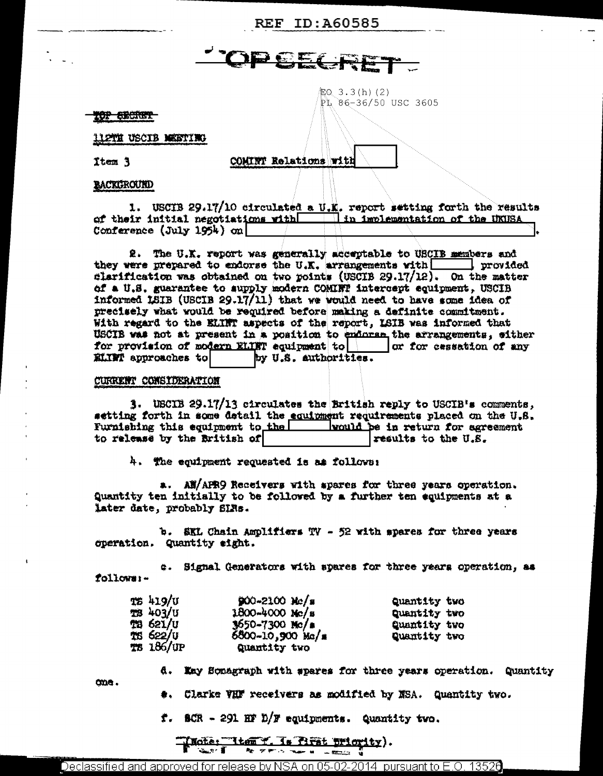**REF ID: A60585** 

# **JPCECRI**

 $EQ$  3.3(h)(2)  $PL$  86-36/50 USC 3605

#### **10P SECRET**

112TH USCIB MEETING

Item 3

COMINT Relations with

**BACKGROUND** 

1. USCIB 29.17/10 circulated a U.K. report setting forth the results of their initial negotiations with in implementation of the UKUSA Conference (July 1954) on

2. The U.K. report was generally acceptable to USCIB members and they were prepared to endorse the U.K. arrangements with  $\Box$  provided clarification was obtained on two points (USCIB 29.17/12). On the matter of a U.S. guarantee to aupply modern COMINT intercept equipment, USCIB informed LSIB (USCIB 29.17/11) that we would need to have some idea of precisely what would be required before making a definite commitment. With regard to the ELINT aspects of the report, ISIB was informed that USCIB was not at present in a position to enforse the arrangements, either for provision of modern ELINT equipment to  $\vert$  or for cessation of any ELIMI approaches to by U.S. authorities.

#### CURRENT CONSIDERATION

one.

3. USCIB 29.17/13 circulates the British reply to USCIB's comments, setting forth in some detail the equipment requirements placed on the U.S. Furnishing this equipment to the would be in return for agreement to release by the British of results to the U.S.

4. The equipment requested is as follows:

a. All/APR9 Receivers with spares for three years operation. Quantity ten initially to be followed by a further ten equipments at a later date, probably SIRs.

b. SKL Chain Amplifiers TV - 52 with spares for three years operation. Quantity sight.

a. Signal Generators with spares for three years operation, as follows:-

| TS 419/U  | $900 - 2100$ Mc/s    | Quantity two |
|-----------|----------------------|--------------|
| TS 403/U  | $1800 - 4000$ Mc/s   | Quantity two |
| TS 621/U  | $3650 - 7300$ Mc/a   | Quantity two |
| IS 622/U  | $6800 - 10,900$ Mc/s | Quantity two |
| TS 186/UP | Cuantity two         |              |

- 4. May Sonagraph with spares for three years operation. Quantity
	- \*. Clarke VHF receivers as modified by NSA. Quantity two.
	- $t$ . SCR 291 HF D/F equipments. Quantity two.

INote: "Item Y. Is first priority). آست  $x_2 - y_1 =$ **The Second State**  $\frac{1}{2} \sum_{i=1}^{n} \frac{1}{i} \sum_{i=1}^{n} \frac{1}{i} \sum_{i=1}^{n} \frac{1}{i} \sum_{i=1}^{n} \frac{1}{i} \sum_{i=1}^{n} \frac{1}{i} \sum_{i=1}^{n} \frac{1}{i} \sum_{i=1}^{n} \frac{1}{i} \sum_{i=1}^{n} \frac{1}{i} \sum_{i=1}^{n} \frac{1}{i} \sum_{i=1}^{n} \frac{1}{i} \sum_{i=1}^{n} \frac{1}{i} \sum_{i=1}^{n} \frac{1}{i} \sum_{i=1}^{n$ 

Declassified and approved for release by NSA on 05-02-2014  $\,$  pursuant to E.O. 13526  $\,$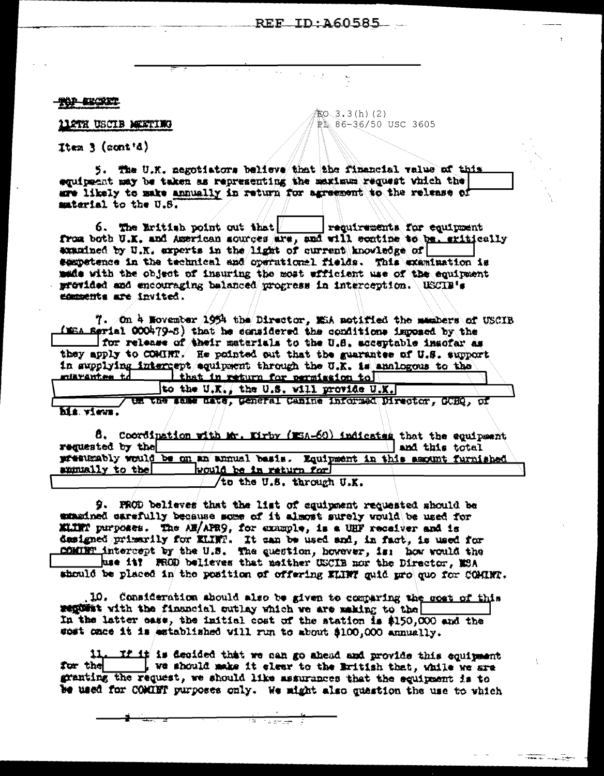## $REF$  ID  $260585$

 $CO-3.3(h)(2)$ 

PL 86-36/50 USC 3605

花木 机微粒

**LLOTH USCLB MEETING** 

Item  $\frac{1}{2}$  (cont'd)

5. The U.K. negotiators believe that the financial value of this equipment may be taken as representing the maximum request which the are likely to make annually in return for agreement to the release of material to the U.S.

6. The Eritian point out that. requirements for equipment from both U.K. and American sources are, and will ecatine to be. sritically examined by U.K. experts in the light of current knowledge of sampetence in the technical and operational fields. This examination is made with the object of insuring the most afficient use of the equipment movided and encouraging balanced progress in interception. USCIB's comments are invited.

7. On 4 November 1954 the Director, MiA notified the members of USCIB (WEA Serial OCO479-S) that he considered the conditions imposed by the I for release of their materials to the U.S. acceptable insofar as they apply to COMINT. He pointed out that the suarantee of U.S. support in supplying intercept squipment through the U.K. is analogous to the minvantes to that in return for permission to

to the U.K., the U.S. will provide U.X. ta the same date, general Canine informed Director, COHO, of hia. views.

8. Coordination with Mr. Eirby (ESA-60) indicates that the equipment requested by the and this total přestkably would be on an annual besis. Equipment in this amount furnished annually to the would be in return for to the U.S. through U.K.

9. PROD believes that the list of equipment requested should be ustained carefully because some of it almost surely would be used for ELIET purposes. The AM/APR9, for example, is a UHF receiver and is designed primarily for KLINT. It can be used and, in fact, is used for CONTET intercept by the U.S. The question, however, is: how would the has it? FROD believes that meither USCIB nor the Director, MSA should be placed in the position of offering MINT guid pro quo for COMINT.

10. Consideration abould also be given to comparing the soat of this regivest with the financial outlay which we are making to the In the latter ease, the initial cost of the station is \$150,000 and the wost once it is established vill run to about \$100,000 annually.

If it is decided that we can go ahead and provide this equipment 11. for the . We should make it elect to the British that, while we are granting the request, we should like assurances that the equipment is to be used for COMINT purposes only. We might also quastion the use to which

 $\frac{1}{2}$ 

ಗುರ್ಜನ್ ನ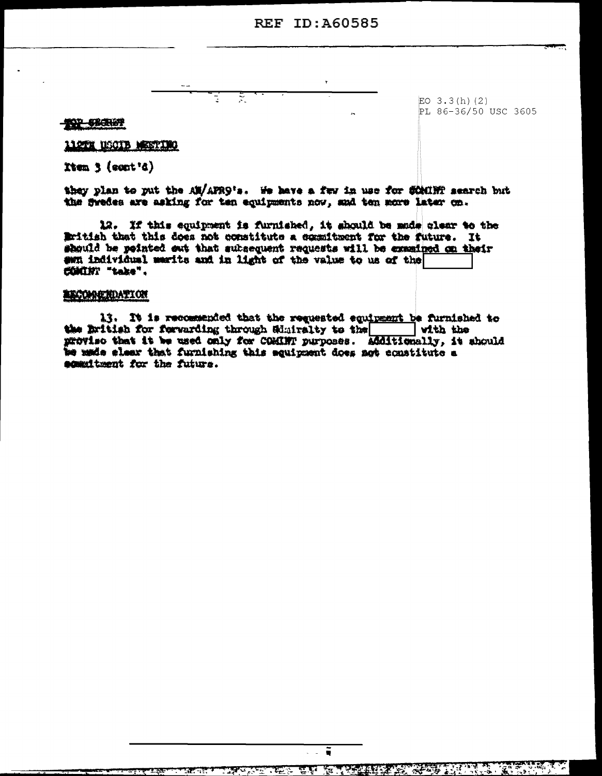## **REF ID: 460585**

**TOP SECRET** 

 $EO$  3.3(h)(2) PL 86-36/50 USC 3605

112TH USCIB MESTING

Item  $3$  (cont'd)

they plan to put the AW/AFR9's. He have a few in use for SCMINT search but the fredes are asking for ten equipments now, and ten more later on.

स्

12. If this equipment is furnished, it should be made clear to the Eritish that this does not constitute a secultment for the future. It should be reinted out that subsequent requests will be examined on their ewn individual merits and in light of the value to us of the COMIN' "take".

## **EXCOMPTIONTION**

13. It is recommended that the requested equipment be furnished to the Eritish for ferwarding through Sduiralty to the with the proviso that it be used only for COMINT purposes. Additionally, it should we made eleer that furnishing this equipment does not constitute a agmmitment for the future.